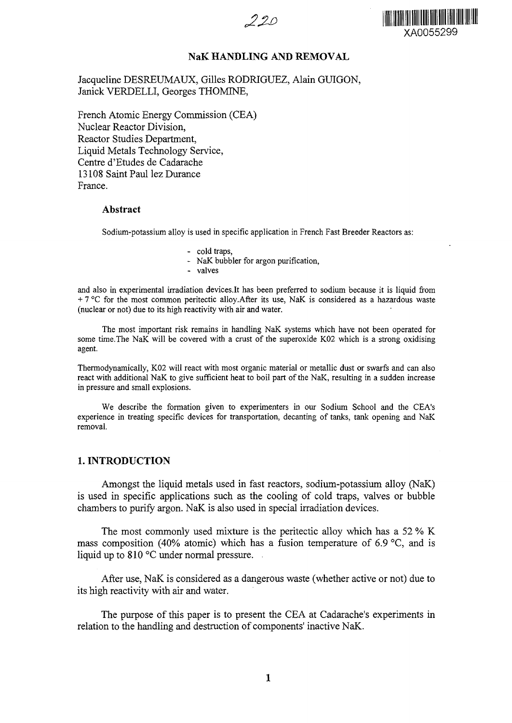## 220



#### **NaK HANDLING AND REMOVAL**

Jacqueline DESREUMAUX, Gilles RODRIGUEZ, Alain GUIGON, Janick VERDELLI, Georges THOMINE,

French Atomic Energy Commission (CEA) Nuclear Reactor Division, Reactor Studies Department, Liquid Metals Technology Service, Centre d'Etudes de Cadarache 13108 Saint Paul lez Durance France.

#### **Abstract**

Sodium-potassium alloy is used in specific application in French Fast Breeder Reactors as:

- cold traps.
- NaK bubbler for argon purification,
- valves

and also in experimental irradiation devices.lt has been preferred to sodium because it is liquid from + 7 °C for the most common peritectic alloy.After its use, NaK is considered as a hazardous waste (nuclear or not) due to its high reactivity with air and water.

The most important risk remains in handling NaK systems which have not been operated for some time. The NaK will be covered with a crust of the superoxide K02 which is a strong oxidising agent.

Thermodynamically, K02 will react with most organic material or metallic dust or swarfs and can also react with additional NaK to give sufficient heat to boil part of the NaK, resulting in a sudden increase in pressure and small explosions.

We describe the formation given to experimenters in our Sodium School and the CEA's experience in treating specific devices for transportation, decanting of tanks, tank opening and NaK removal.

#### **1. INTRODUCTION**

Amongst the liquid metals used in fast reactors, sodium-potassium alloy (NaK) is used in specific applications such as the cooling of cold traps, valves or bubble chambers to purify argon. NaK is also used in special irradiation devices.

The most commonly used mixture is the peritectic alloy which has a 52 % K mass composition (40% atomic) which has a fusion temperature of 6.9 °C, and is liquid up to 810 °C under normal pressure.

After use, NaK is considered as a dangerous waste (whether active or not) due to its high reactivity with air and water.

The purpose of this paper is to present the CEA at Cadarache's experiments in relation to the handling and destruction of components' inactive NaK.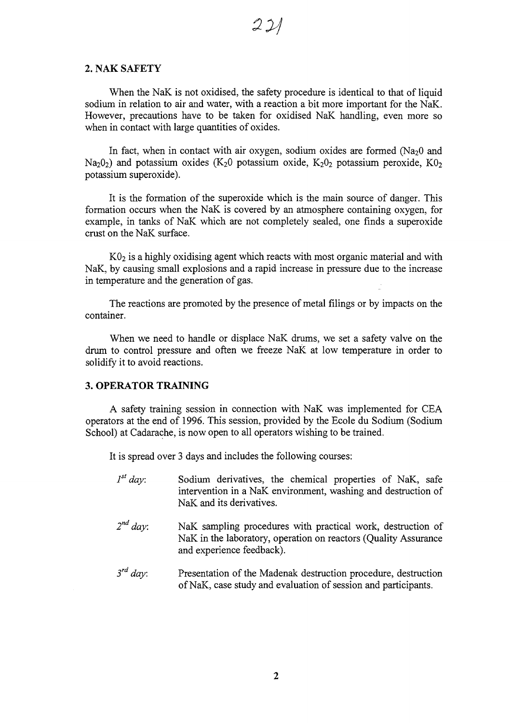#### 2. **NAK** SAFETY

When the NaK is not oxidised, the safety procedure is identical to that of liquid sodium in relation to air and water, with a reaction a bit more important for the NaK. However, precautions have to be taken for oxidised NaK handling, even more so when in contact with large quantities of oxides.

In fact, when in contact with air oxygen, sodium oxides are formed  $(Na<sub>2</sub>0$  and Na<sub>2</sub>( $\alpha$ ) and potassium oxides (K<sub>2</sub><sup>(2)</sup> potassium oxide, K<sub>2</sub><sup>(2)</sup> potassium peroxide, K<sup>0</sup><sub>2</sub> potassium superoxide).

It is the formation of the superoxide which is the main source of danger. This formation occurs when the NaK is covered by an atmosphere containing oxygen, for example, in tanks of NaK which are not completely sealed, one finds a superoxide crust on the NaK surface.

 $K_0$  is a highly oxidising agent which reacts with most organic material and with NaK, by causing small explosions and a rapid increase in pressure due to the increase in temperature and the generation of gas.

The reactions are promoted by the presence of metal filings or by impacts on the container.

When we need to handle or displace NaK drums, we set a safety valve on the drum to control pressure and often we freeze NaK at low temperature in order to solidify it to avoid reactions.

### **3. OPERATOR TRAINING**

A safety training session in connection with NaK was implemented for CEA operators at the end of 1996. This session, provided by the Ecole du Sodium (Sodium School) at Cadarache, is now open to all operators wishing to be trained.

It is spread over 3 days and includes the following courses:

| $I^{st}$ day: | Sodium derivatives, the chemical properties of NaK, safe<br>intervention in a NaK environment, washing and destruction of<br>NaK and its derivatives.       |
|---------------|-------------------------------------------------------------------------------------------------------------------------------------------------------------|
| $2^{nd}$ day: | NaK sampling procedures with practical work, destruction of<br>NaK in the laboratory, operation on reactors (Quality Assurance<br>and experience feedback). |
| $3^{rd}$ day: | Presentation of the Madenak destruction procedure, destruction<br>of NaK, case study and evaluation of session and participants.                            |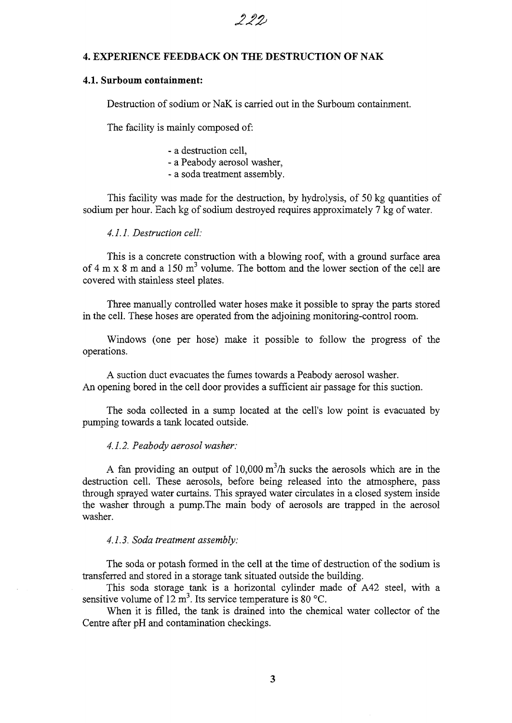## 222

#### **4. EXPERIENCE FEEDBACK ON THE DESTRUCTION OF NAK**

#### **4.1. Surboum containment:**

Destruction of sodium or NaK is carried out in the Surboum containment.

The facility is mainly composed of:

- a destruction cell,
- a Peabody aerosol washer,
- a soda treatment assembly.

This facility was made for the destruction, by hydrolysis, of 50 kg quantities of sodium per hour. Each kg of sodium destroyed requires approximately 7 kg of water.

#### *4.1.1. Destruction cell:*

This is a concrete construction with a blowing roof, with a ground surface area of 4 m x 8 m and a 150 m<sup>3</sup> volume. The bottom and the lower section of the cell are covered with stainless steel plates.

Three manually controlled water hoses make it possible to spray the parts stored in the cell. These hoses are operated from the adjoining monitoring-control room.

Windows (one per hose) make it possible to follow the progress of the operations.

A suction duct evacuates the fumes towards a Peabody aerosol washer. An opening bored in the cell door provides a sufficient air passage for this suction.

The soda collected in a sump located at the cell's low point is evacuated by pumping towards a tank located outside.

#### *4.1.2. Peabody aerosol washer:*

A fan providing an output of  $10,000 \text{ m}^3/\text{h}$  sucks the aerosols which are in the destruction cell. These aerosols, before being released into the atmosphere, pass through sprayed water curtains. This sprayed water circulates in a closed system inside the washer through a pump.The main body of aerosols are trapped in the aerosol washer.

#### *4.1.3. Soda treatment assembly:*

The soda or potash formed in the cell at the time of destruction of the sodium is transferred and stored in a storage tank situated outside the building.

This soda storage tank is a horizontal cylinder made of A42 steel, with a sensitive volume of 12 m<sup>3</sup>. Its service temperature is 80 °C.

When it is filled, the tank is drained into the chemical water collector of the Centre after pH and contamination checkings.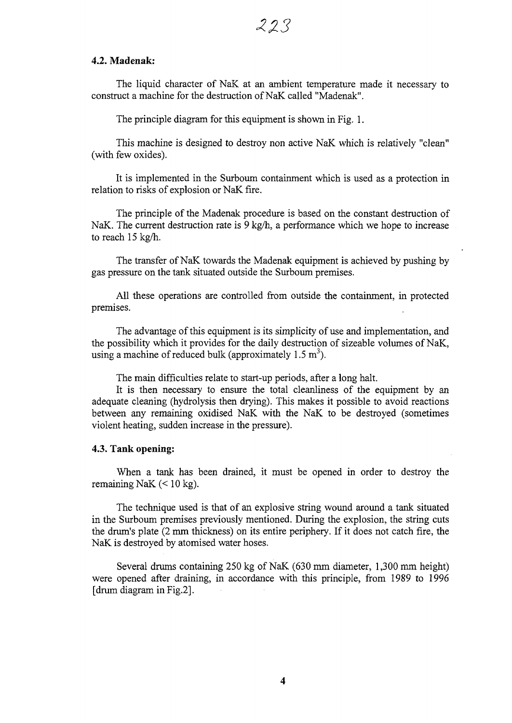#### **4.2. Madenak:**

The liquid character of NaK at an ambient temperature made it necessary to construct a machine for the destruction of NaK called "Madenak".

The principle diagram for this equipment is shown in Fig. 1.

This machine is designed to destroy non active NaK which is relatively "clean" (with few oxides).

It is implemented in the Surboum containment which is used as a protection in relation to risks of explosion or NaK fire.

The principle of the Madenak procedure is based on the constant destruction of NaK. The current destruction rate is 9 kg/h, a performance which we hope to increase to reach 15 kg/h.

The transfer of NaK towards the Madenak equipment is achieved by pushing by gas pressure on the tank situated outside the Surboum premises.

All these operations are controlled from outside the containment, in protected premises.

The advantage of this equipment is its simplicity of use and implementation, and the possibility which it provides for the daily destruction of sizeable volumes of NaK, using a machine of reduced bulk (approximately  $1.5 \text{ m}^3$ ).

The main difficulties relate to start-up periods, after a long halt.

It is then necessary to ensure the total cleanliness of the equipment by an adequate cleaning (hydrolysis then drying). This makes it possible to avoid reactions between any remaining oxidised NaK with the NaK to be destroyed (sometimes violent heating, sudden increase in the pressure).

#### **4.3. Tank opening:**

When a tank has been drained, it must be opened in order to destroy the remaining NaK  $(< 10 \text{ kg})$ .

The technique used is that of an explosive string wound around a tank situated in the Surboum premises previously mentioned. During the explosion, the string cuts the drum's plate (2 mm thickness) on its entire periphery. If it does not catch fire, the NaK is destroyed by atomised water hoses.

Several drums containing 250 kg of NaK (630 mm diameter, 1,300 mm height) were opened after draining, in accordance with this principle, from 1989 to 1996 [drum diagram in Fig.2].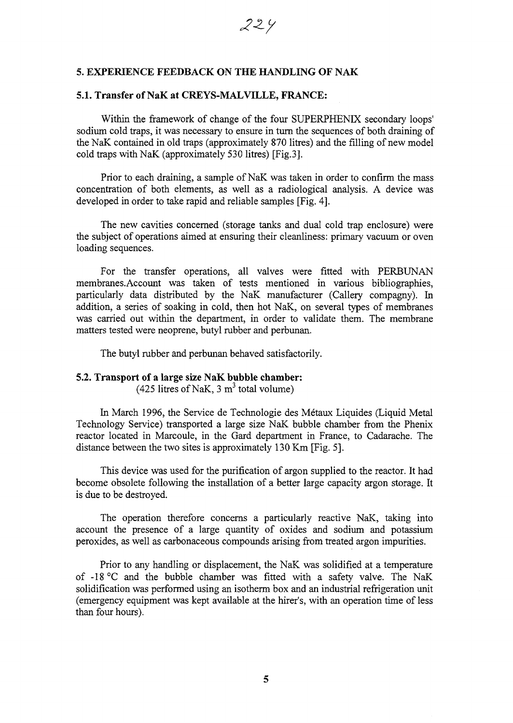#### **5. EXPERIENCE FEEDBACK ON THE HANDLING OF NAK**

#### **5.1. Transfer of NaK at CREYS-MALVILLE, FRANCE:**

Within the framework of change of the four SUPERPHENIX secondary loops' sodium cold traps, it was necessary to ensure in turn the sequences of both draining of the NaK contained in old traps (approximately 870 litres) and the filling of new model cold traps with NaK (approximately 530 litres) [Fig.3].

Prior to each draining, a sample of NaK was taken in order to confirm the mass concentration of both elements, as well as a radiological analysis. A device was developed in order to take rapid and reliable samples [Fig. 4].

The new cavities concerned (storage tanks and dual cold trap enclosure) were the subject of operations aimed at ensuring their cleanliness: primary vacuum or oven loading sequences.

For the transfer operations, all valves were fitted with PERBUNAN membranes.Account was taken of tests mentioned in various bibliographies, particularly data distributed by the NaK manufacturer (Callery compagny). In addition, a series of soaking in cold, then hot NaK, on several types of membranes was carried out within the department, in order to validate them. The membrane matters tested were neoprene, butyl rubber and perbunan.

The butyl rubber and perbunan behaved satisfactorily.

## **5.2. Transport of a large size NaK bubble chamber:**

(425 litres of NaK, 3  $m^3$  total volume)

In March 1996, the Service de Technologie des Metaux Liquides (Liquid Metal Technology Service) transported a large size NaK bubble chamber from the Phenix reactor located in Marcoule, in the Gard department in France, to Cadarache. The distance between the two sites is approximately 130 Km [Fig. 5].

This device was used for the purification of argon supplied to the reactor. It had become obsolete following the installation of a better large capacity argon storage. It is due to be destroyed.

The operation therefore concerns a particularly reactive NaK, taking into account the presence of a large quantity of oxides and sodium and potassium peroxides, as well as carbonaceous compounds arising from treated argon impurities.

Prior to any handling or displacement, the NaK was solidified at a temperature of -18 °C and the bubble chamber was fitted with a safety valve. The NaK solidification was performed using an isotherm box and an industrial refrigeration unit (emergency equipment was kept available at the hirer's, with an operation time of less than four hours).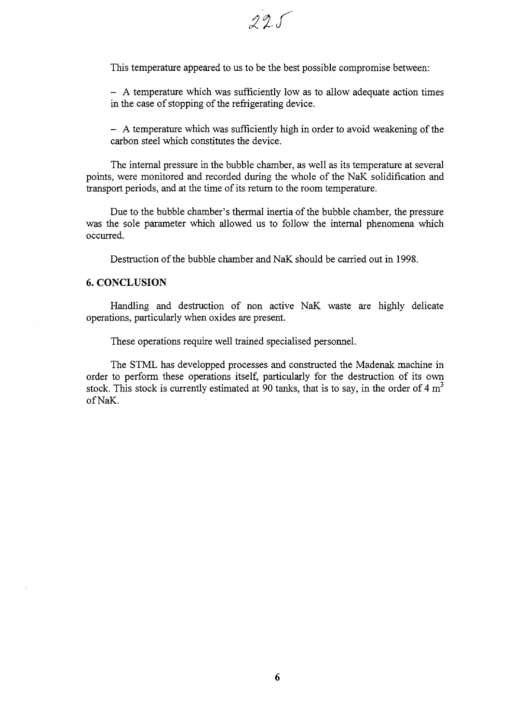This temperature appeared to us to be the best possible compromise between:

- A temperature which was sufficiently low as to allow adequate action times in the case of stopping of the refrigerating device.

- A temperature which was sufficiently high in order to avoid weakening of the carbon steel which constitutes the device.

The internal pressure in the bubble chamber, as well as its temperature at several points, were monitored and recorded during the whole of the NaK solidification and transport periods, and at the time of its return to the room temperature.

Due to the bubble chamber's thermal inertia of the bubble chamber, the pressure was the sole parameter which allowed us to follow the internal phenomena which occurred.

Destruction of the bubble chamber and NaK should be carried out in 1998.

#### **6. CONCLUSION**

Handling and destruction of non active NaK waste are highly delicate operations, particularly when oxides are present.

These operations require well trained specialised personnel.

The STML has developped processes and constructed the Madenak machine in order to perform these operations itself, particularly for the destruction of its own stock. This stock is currently estimated at 90 tanks, that is to say, in the order of 4  $m<sup>3</sup>$ ofNaK.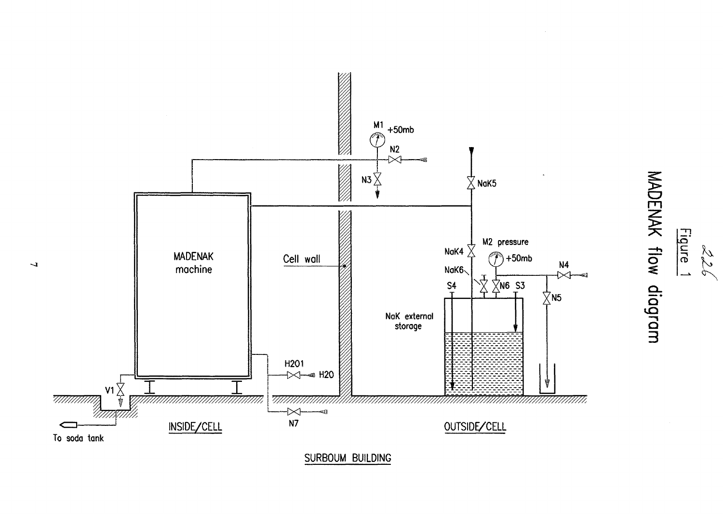

SURBOUM BUILDING

MADENAK flow diagram Figure

226

 $\overline{L}$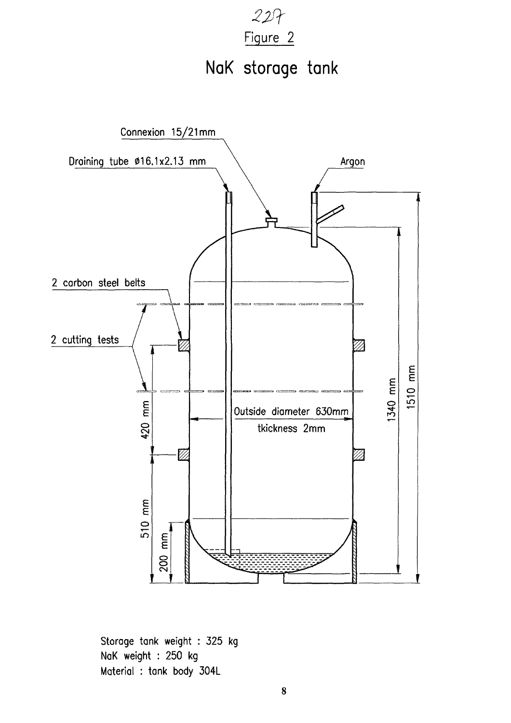





Storage tank weight : 325 kg NaK weight : 250 kg Material : tank body 304L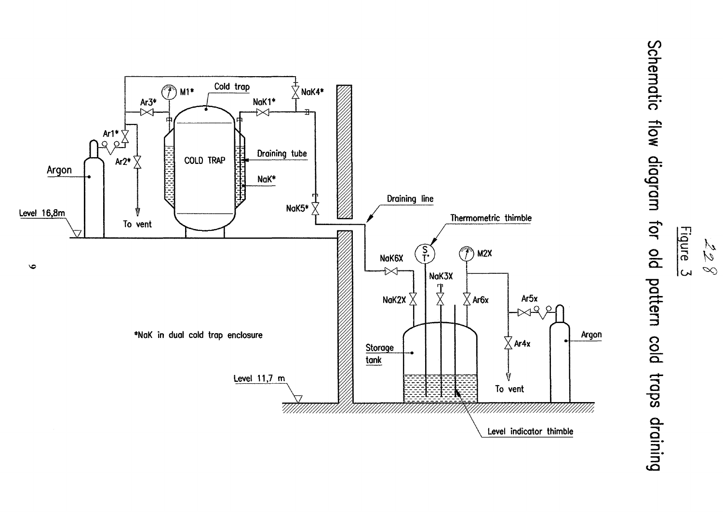

Schematic flow diagram for old pattern cold traps draining

Figure  $88\%$ اد،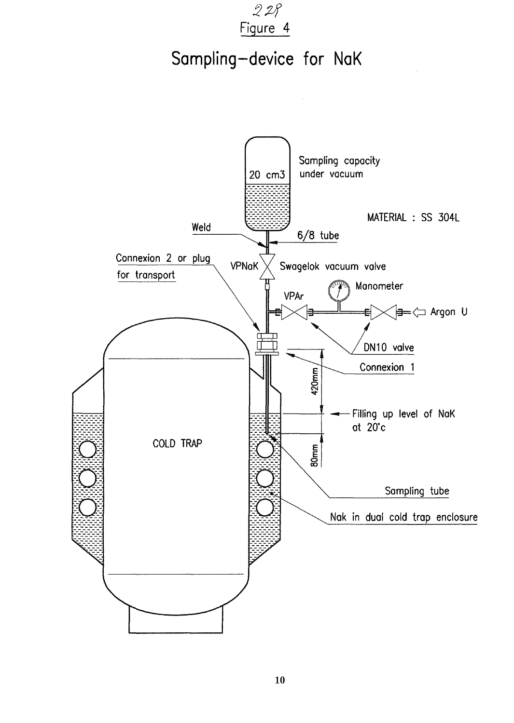![](_page_9_Figure_0.jpeg)